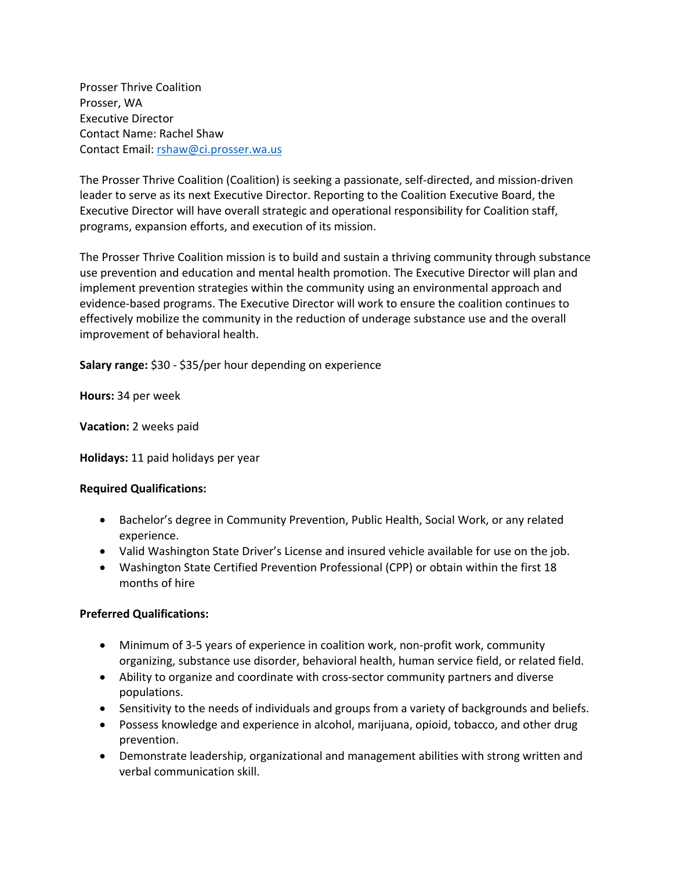Prosser Thrive Coalition Prosser, WA Executive Director Contact Name: Rachel Shaw Contact Email: rshaw@ci.prosser.wa.us

The Prosser Thrive Coalition (Coalition) is seeking a passionate, self-directed, and mission-driven leader to serve as its next Executive Director. Reporting to the Coalition Executive Board, the Executive Director will have overall strategic and operational responsibility for Coalition staff, programs, expansion efforts, and execution of its mission.

The Prosser Thrive Coalition mission is to build and sustain a thriving community through substance use prevention and education and mental health promotion. The Executive Director will plan and implement prevention strategies within the community using an environmental approach and evidence-based programs. The Executive Director will work to ensure the coalition continues to effectively mobilize the community in the reduction of underage substance use and the overall improvement of behavioral health.

**Salary range:** \$30 - \$35/per hour depending on experience

**Hours:** 34 per week

**Vacation:** 2 weeks paid

**Holidays:** 11 paid holidays per year

### **Required Qualifications:**

- Bachelor's degree in Community Prevention, Public Health, Social Work, or any related experience.
- Valid Washington State Driver's License and insured vehicle available for use on the job.
- Washington State Certified Prevention Professional (CPP) or obtain within the first 18 months of hire

# **Preferred Qualifications:**

- Minimum of 3-5 years of experience in coalition work, non-profit work, community organizing, substance use disorder, behavioral health, human service field, or related field.
- Ability to organize and coordinate with cross-sector community partners and diverse populations.
- Sensitivity to the needs of individuals and groups from a variety of backgrounds and beliefs.
- Possess knowledge and experience in alcohol, marijuana, opioid, tobacco, and other drug prevention.
- Demonstrate leadership, organizational and management abilities with strong written and verbal communication skill.